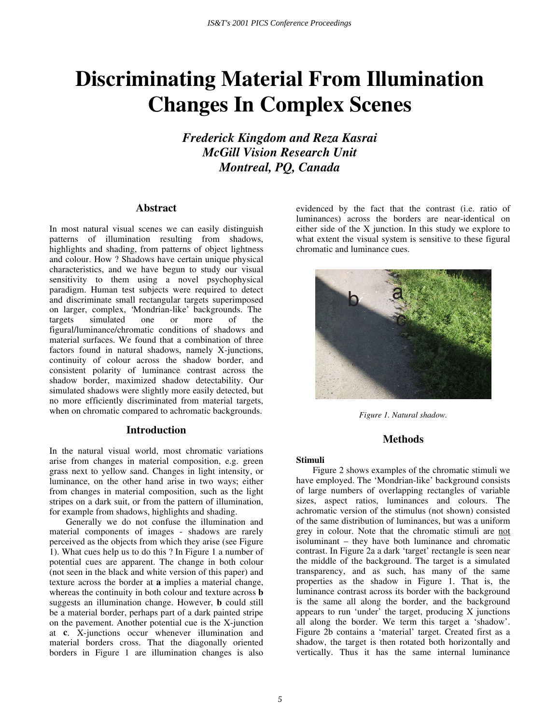# **Discriminating Material From Illumination Changes In Complex Scenes**

*Frederick Kingdom and Reza Kasrai McGill Vision Research Unit Montreal, PQ, Canada* 

## **Abstract**

In most natural visual scenes we can easily distinguish patterns of illumination resulting from shadows, highlights and shading, from patterns of object lightness and colour. How ? Shadows have certain unique physical characteristics, and we have begun to study our visual sensitivity to them using a novel psychophysical paradigm. Human test subjects were required to detect and discriminate small rectangular targets superimposed on larger, complex, 'Mondrian-like' backgrounds. The targets simulated one or more of the figural/luminance/chromatic conditions of shadows and material surfaces. We found that a combination of three factors found in natural shadows, namely X-junctions, continuity of colour across the shadow border, and consistent polarity of luminance contrast across the shadow border, maximized shadow detectability. Our simulated shadows were slightly more easily detected, but no more efficiently discriminated from material targets, when on chromatic compared to achromatic backgrounds.

## **Introduction**

In the natural visual world, most chromatic variations arise from changes in material composition, e.g. green grass next to yellow sand. Changes in light intensity, or luminance, on the other hand arise in two ways; either from changes in material composition, such as the light stripes on a dark suit, or from the pattern of illumination, for example from shadows, highlights and shading.

Generally we do not confuse the illumination and material components of images - shadows are rarely perceived as the objects from which they arise (see Figure 1). What cues help us to do this ? In Figure 1 a number of potential cues are apparent. The change in both colour (not seen in the black and white version of this paper) and texture across the border at **a** implies a material change, whereas the continuity in both colour and texture across **b**  suggests an illumination change. However, **b** could still be a material border, perhaps part of a dark painted stripe on the pavement. Another potential cue is the X-junction at **c**. X-junctions occur whenever illumination and material borders cross. That the diagonally oriented borders in Figure 1 are illumination changes is also evidenced by the fact that the contrast (i.e. ratio of luminances) across the borders are near-identical on either side of the X junction. In this study we explore to what extent the visual system is sensitive to these figural chromatic and luminance cues.



*Figure 1. Natural shadow.* 

## **Methods**

#### **Stimuli**

Figure 2 shows examples of the chromatic stimuli we have employed. The 'Mondrian-like' background consists of large numbers of overlapping rectangles of variable sizes, aspect ratios, luminances and colours. The achromatic version of the stimulus (not shown) consisted of the same distribution of luminances, but was a uniform grey in colour. Note that the chromatic stimuli are not isoluminant – they have both luminance and chromatic contrast. In Figure 2a a dark 'target' rectangle is seen near the middle of the background. The target is a simulated transparency, and as such, has many of the same properties as the shadow in Figure 1. That is, the luminance contrast across its border with the background is the same all along the border, and the background appears to run 'under' the target, producing  $X$  junctions all along the border. We term this target a 'shadow'. Figure 2b contains a 'material' target. Created first as a shadow, the target is then rotated both horizontally and vertically. Thus it has the same internal luminance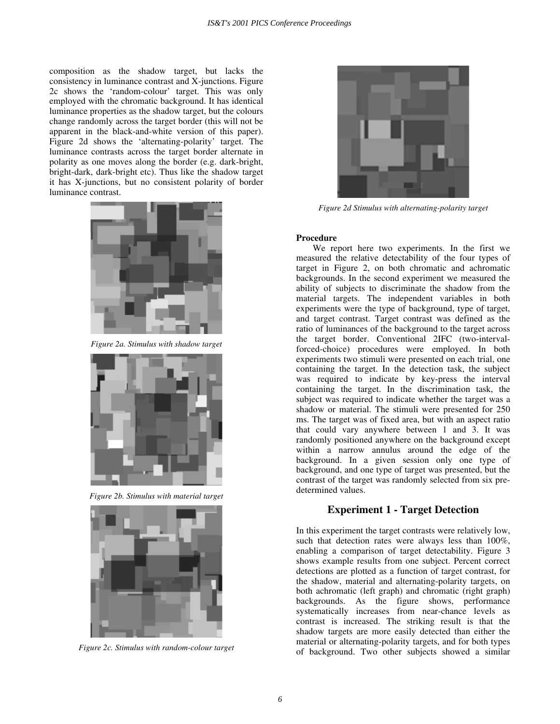composition as the shadow target, but lacks the consistency in luminance contrast and X-junctions. Figure 2c shows the 'random-colour' target. This was only employed with the chromatic background. It has identical luminance properties as the shadow target, but the colours change randomly across the target border (this will not be apparent in the black-and-white version of this paper). Figure 2d shows the 'alternating-polarity' target. The luminance contrasts across the target border alternate in polarity as one moves along the border (e.g. dark-bright, bright-dark, dark-bright etc). Thus like the shadow target it has X-junctions, but no consistent polarity of border luminance contrast.



*Figure 2a. Stimulus with shadow target* 



*Figure 2b. Stimulus with material target* 



*Figure 2c. Stimulus with random-colour target* 



*Figure 2d Stimulus with alternating-polarity target* 

#### **Procedure**

We report here two experiments. In the first we measured the relative detectability of the four types of target in Figure 2, on both chromatic and achromatic backgrounds. In the second experiment we measured the ability of subjects to discriminate the shadow from the material targets. The independent variables in both experiments were the type of background, type of target, and target contrast. Target contrast was defined as the ratio of luminances of the background to the target across the target border. Conventional 2IFC (two-intervalforced-choice) procedures were employed. In both experiments two stimuli were presented on each trial, one containing the target. In the detection task, the subject was required to indicate by key-press the interval containing the target. In the discrimination task, the subject was required to indicate whether the target was a shadow or material. The stimuli were presented for 250 ms. The target was of fixed area, but with an aspect ratio that could vary anywhere between 1 and 3. It was randomly positioned anywhere on the background except within a narrow annulus around the edge of the background. In a given session only one type of background, and one type of target was presented, but the contrast of the target was randomly selected from six predetermined values.

# **Experiment 1 - Target Detection**

In this experiment the target contrasts were relatively low, such that detection rates were always less than 100%, enabling a comparison of target detectability. Figure 3 shows example results from one subject. Percent correct detections are plotted as a function of target contrast, for the shadow, material and alternating-polarity targets, on both achromatic (left graph) and chromatic (right graph) backgrounds. As the figure shows, performance systematically increases from near-chance levels as contrast is increased. The striking result is that the shadow targets are more easily detected than either the material or alternating-polarity targets, and for both types of background. Two other subjects showed a similar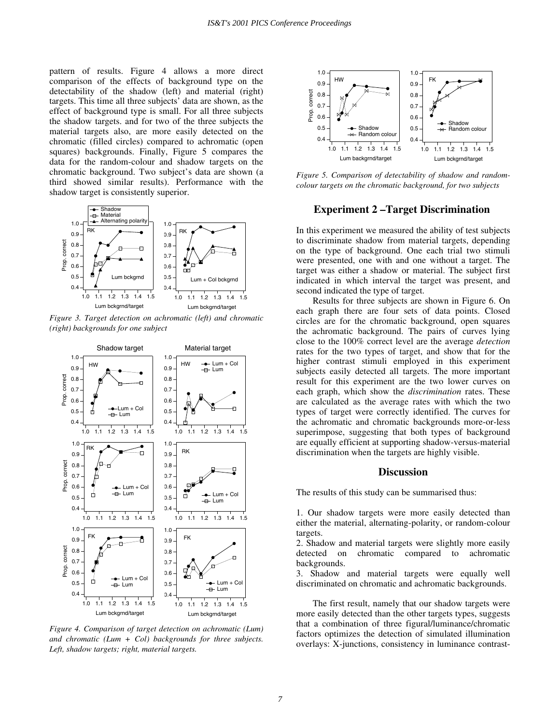pattern of results. Figure 4 allows a more direct comparison of the effects of background type on the detectability of the shadow (left) and material (right) targets. This time all three subjects' data are shown, as the effect of background type is small. For all three subjects the shadow targets. and for two of the three subjects the material targets also, are more easily detected on the chromatic (filled circles) compared to achromatic (open squares) backgrounds. Finally, Figure 5 compares the data for the random-colour and shadow targets on the chromatic background. Two subject's data are shown (a third showed similar results). Performance with the shadow target is consistently superior.



*Figure 3. Target detection on achromatic (left) and chromatic (right) backgrounds for one subject*



*Figure 4. Comparison of target detection on achromatic (Lum) and chromatic (Lum + Col) backgrounds for three subjects. Left, shadow targets; right, material targets.*



*Figure 5. Comparison of detectability of shadow and randomcolour targets on the chromatic background, for two subjects* 

## **Experiment 2 – Target Discrimination**

In this experiment we measured the ability of test subjects to discriminate shadow from material targets, depending on the type of background. One each trial two stimuli were presented, one with and one without a target. The target was either a shadow or material. The subject first indicated in which interval the target was present, and second indicated the type of target.

Results for three subjects are shown in Figure 6. On each graph there are four sets of data points. Closed circles are for the chromatic background, open squares the achromatic background. The pairs of curves lying close to the 100% correct level are the average *detection* rates for the two types of target, and show that for the higher contrast stimuli employed in this experiment subjects easily detected all targets. The more important result for this experiment are the two lower curves on each graph, which show the *discrimination* rates. These are calculated as the average rates with which the two types of target were correctly identified. The curves for the achromatic and chromatic backgrounds more-or-less superimpose, suggesting that both types of background are equally efficient at supporting shadow-versus-material discrimination when the targets are highly visible.

#### **Discussion**

The results of this study can be summarised thus:

1. Our shadow targets were more easily detected than either the material, alternating-polarity, or random-colour targets.

2. Shadow and material targets were slightly more easily detected on chromatic compared to achromatic backgrounds.

3. Shadow and material targets were equally well discriminated on chromatic and achromatic backgrounds.

The first result, namely that our shadow targets were more easily detected than the other targets types, suggests that a combination of three figural/luminance/chromatic factors optimizes the detection of simulated illumination overlays: X-junctions, consistency in luminance contrast